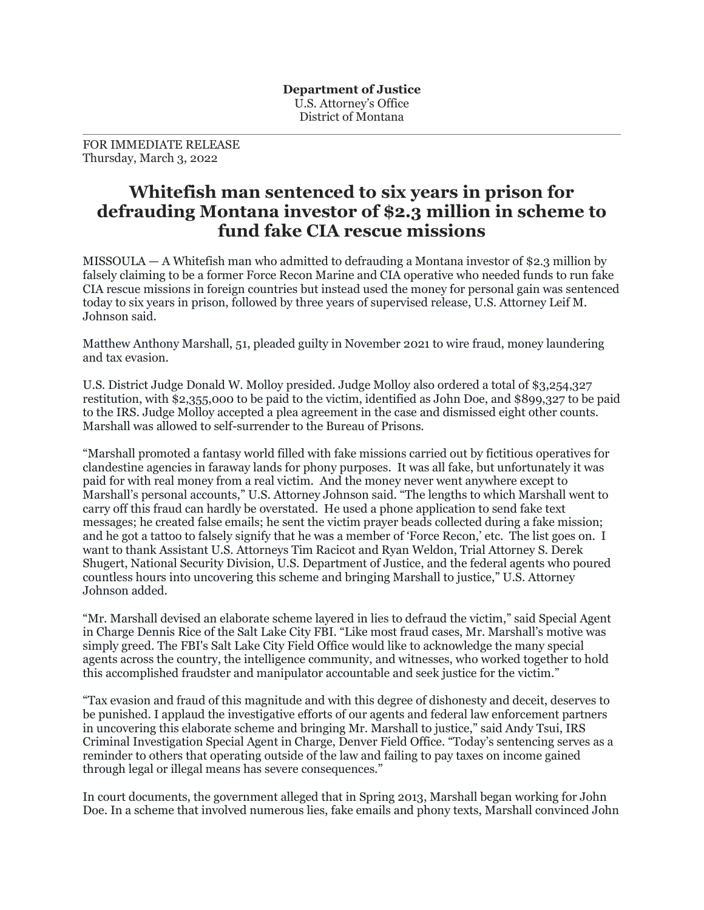FOR IMMEDIATE RELEASE Thursday, March 3, 2022

## **Whitefish man sentenced to six years in prison for defrauding Montana investor of \$2.3 million in scheme to fund fake CIA rescue missions**

MISSOULA — A Whitefish man who admitted to defrauding a Montana investor of \$2.3 million by falsely claiming to be a former Force Recon Marine and CIA operative who needed funds to run fake CIA rescue missions in foreign countries but instead used the money for personal gain was sentenced today to six years in prison, followed by three years of supervised release, U.S. Attorney Leif M. Johnson said.

Matthew Anthony Marshall, 51, pleaded guilty in November 2021 to wire fraud, money laundering and tax evasion.

U.S. District Judge Donald W. Molloy presided. Judge Molloy also ordered a total of \$3,254,327 restitution, with \$2,355,000 to be paid to the victim, identified as John Doe, and \$899,327 to be paid to the IRS. Judge Molloy accepted a plea agreement in the case and dismissed eight other counts. Marshall was allowed to self-surrender to the Bureau of Prisons.

"Marshall promoted a fantasy world filled with fake missions carried out by fictitious operatives for clandestine agencies in faraway lands for phony purposes. It was all fake, but unfortunately it was paid for with real money from a real victim. And the money never went anywhere except to Marshall's personal accounts," U.S. Attorney Johnson said. "The lengths to which Marshall went to carry off this fraud can hardly be overstated. He used a phone application to send fake text messages; he created false emails; he sent the victim prayer beads collected during a fake mission; and he got a tattoo to falsely signify that he was a member of 'Force Recon,' etc. The list goes on. I want to thank Assistant U.S. Attorneys Tim Racicot and Ryan Weldon, Trial Attorney S. Derek Shugert, National Security Division, U.S. Department of Justice, and the federal agents who poured countless hours into uncovering this scheme and bringing Marshall to justice," U.S. Attorney Johnson added.

"Mr. Marshall devised an elaborate scheme layered in lies to defraud the victim," said Special Agent in Charge Dennis Rice of the Salt Lake City FBI. "Like most fraud cases, Mr. Marshall's motive was simply greed. The FBI's Salt Lake City Field Office would like to acknowledge the many special agents across the country, the intelligence community, and witnesses, who worked together to hold this accomplished fraudster and manipulator accountable and seek justice for the victim."

"Tax evasion and fraud of this magnitude and with this degree of dishonesty and deceit, deserves to be punished. I applaud the investigative efforts of our agents and federal law enforcement partners in uncovering this elaborate scheme and bringing Mr. Marshall to justice," said Andy Tsui, IRS Criminal Investigation Special Agent in Charge, Denver Field Office. "Today's sentencing serves as a reminder to others that operating outside of the law and failing to pay taxes on income gained through legal or illegal means has severe consequences."

In court documents, the government alleged that in Spring 2013, Marshall began working for John Doe. In a scheme that involved numerous lies, fake emails and phony texts, Marshall convinced John